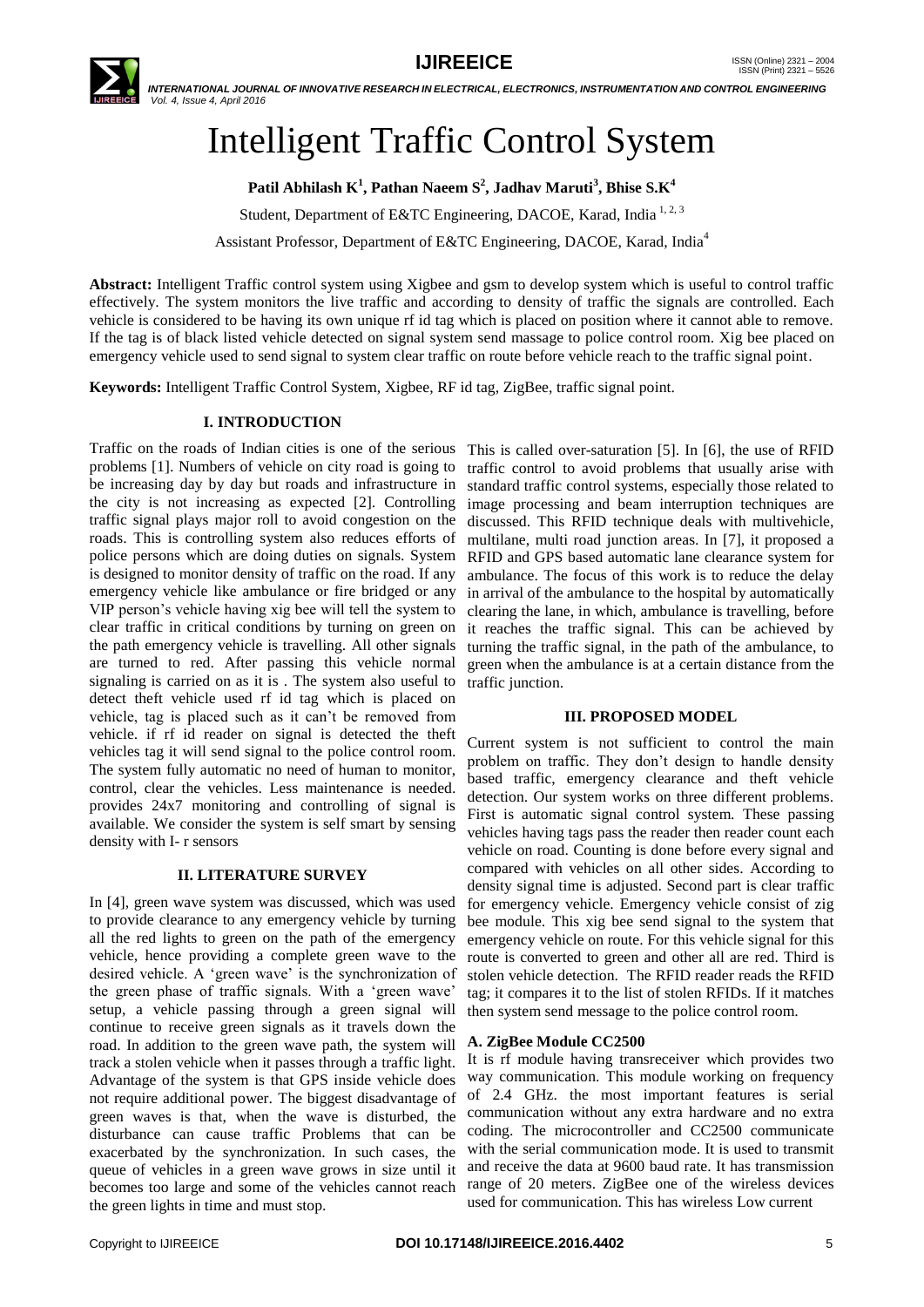

# Intelligent Traffic Control System

**Patil Abhilash K<sup>1</sup> , Pathan Naeem S 2 , Jadhav Maruti<sup>3</sup> , Bhise S.K<sup>4</sup>**

Student, Department of E&TC Engineering, DACOE, Karad, India<sup>1,2,3</sup>

Assistant Professor, Department of E&TC Engineering, DACOE, Karad, India<sup>4</sup>

**Abstract:** Intelligent Traffic control system using Xigbee and gsm to develop system which is useful to control traffic effectively. The system monitors the live traffic and according to density of traffic the signals are controlled. Each vehicle is considered to be having its own unique rf id tag which is placed on position where it cannot able to remove. If the tag is of black listed vehicle detected on signal system send massage to police control room. Xig bee placed on emergency vehicle used to send signal to system clear traffic on route before vehicle reach to the traffic signal point.

**Keywords:** Intelligent Traffic Control System, Xigbee, RF id tag, ZigBee, traffic signal point.

# **I. INTRODUCTION**

Traffic on the roads of Indian cities is one of the serious problems [1]. Numbers of vehicle on city road is going to be increasing day by day but roads and infrastructure in the city is not increasing as expected [2]. Controlling traffic signal plays major roll to avoid congestion on the roads. This is controlling system also reduces efforts of police persons which are doing duties on signals. System is designed to monitor density of traffic on the road. If any emergency vehicle like ambulance or fire bridged or any VIP person"s vehicle having xig bee will tell the system to clear traffic in critical conditions by turning on green on the path emergency vehicle is travelling. All other signals are turned to red. After passing this vehicle normal signaling is carried on as it is . The system also useful to detect theft vehicle used rf id tag which is placed on vehicle, tag is placed such as it can"t be removed from vehicle. if rf id reader on signal is detected the theft vehicles tag it will send signal to the police control room. The system fully automatic no need of human to monitor, control, clear the vehicles. Less maintenance is needed. provides 24x7 monitoring and controlling of signal is available. We consider the system is self smart by sensing density with I- r sensors

# **II. LITERATURE SURVEY**

In [4], green wave system was discussed, which was used to provide clearance to any emergency vehicle by turning all the red lights to green on the path of the emergency vehicle, hence providing a complete green wave to the desired vehicle. A "green wave" is the synchronization of the green phase of traffic signals. With a 'green wave' setup, a vehicle passing through a green signal will continue to receive green signals as it travels down the road. In addition to the green wave path, the system will track a stolen vehicle when it passes through a traffic light. Advantage of the system is that GPS inside vehicle does not require additional power. The biggest disadvantage of green waves is that, when the wave is disturbed, the disturbance can cause traffic Problems that can be exacerbated by the synchronization. In such cases, the queue of vehicles in a green wave grows in size until it becomes too large and some of the vehicles cannot reach the green lights in time and must stop.

This is called over-saturation [5]. In [6], the use of RFID traffic control to avoid problems that usually arise with standard traffic control systems, especially those related to image processing and beam interruption techniques are discussed. This RFID technique deals with multivehicle, multilane, multi road junction areas. In [7], it proposed a RFID and GPS based automatic lane clearance system for ambulance. The focus of this work is to reduce the delay in arrival of the ambulance to the hospital by automatically clearing the lane, in which, ambulance is travelling, before it reaches the traffic signal. This can be achieved by turning the traffic signal, in the path of the ambulance, to green when the ambulance is at a certain distance from the traffic junction.

#### **III. PROPOSED MODEL**

Current system is not sufficient to control the main problem on traffic. They don"t design to handle density based traffic, emergency clearance and theft vehicle detection. Our system works on three different problems. First is automatic signal control system. These passing vehicles having tags pass the reader then reader count each vehicle on road. Counting is done before every signal and compared with vehicles on all other sides. According to density signal time is adjusted. Second part is clear traffic for emergency vehicle. Emergency vehicle consist of zig bee module. This xig bee send signal to the system that emergency vehicle on route. For this vehicle signal for this route is converted to green and other all are red. Third is stolen vehicle detection. The RFID reader reads the RFID tag; it compares it to the list of stolen RFIDs. If it matches then system send message to the police control room.

# **A. ZigBee Module CC2500**

It is rf module having transreceiver which provides two way communication. This module working on frequency of 2.4 GHz. the most important features is serial communication without any extra hardware and no extra coding. The microcontroller and CC2500 communicate with the serial communication mode. It is used to transmit and receive the data at 9600 baud rate. It has transmission range of 20 meters. ZigBee one of the wireless devices used for communication. This has wireless Low current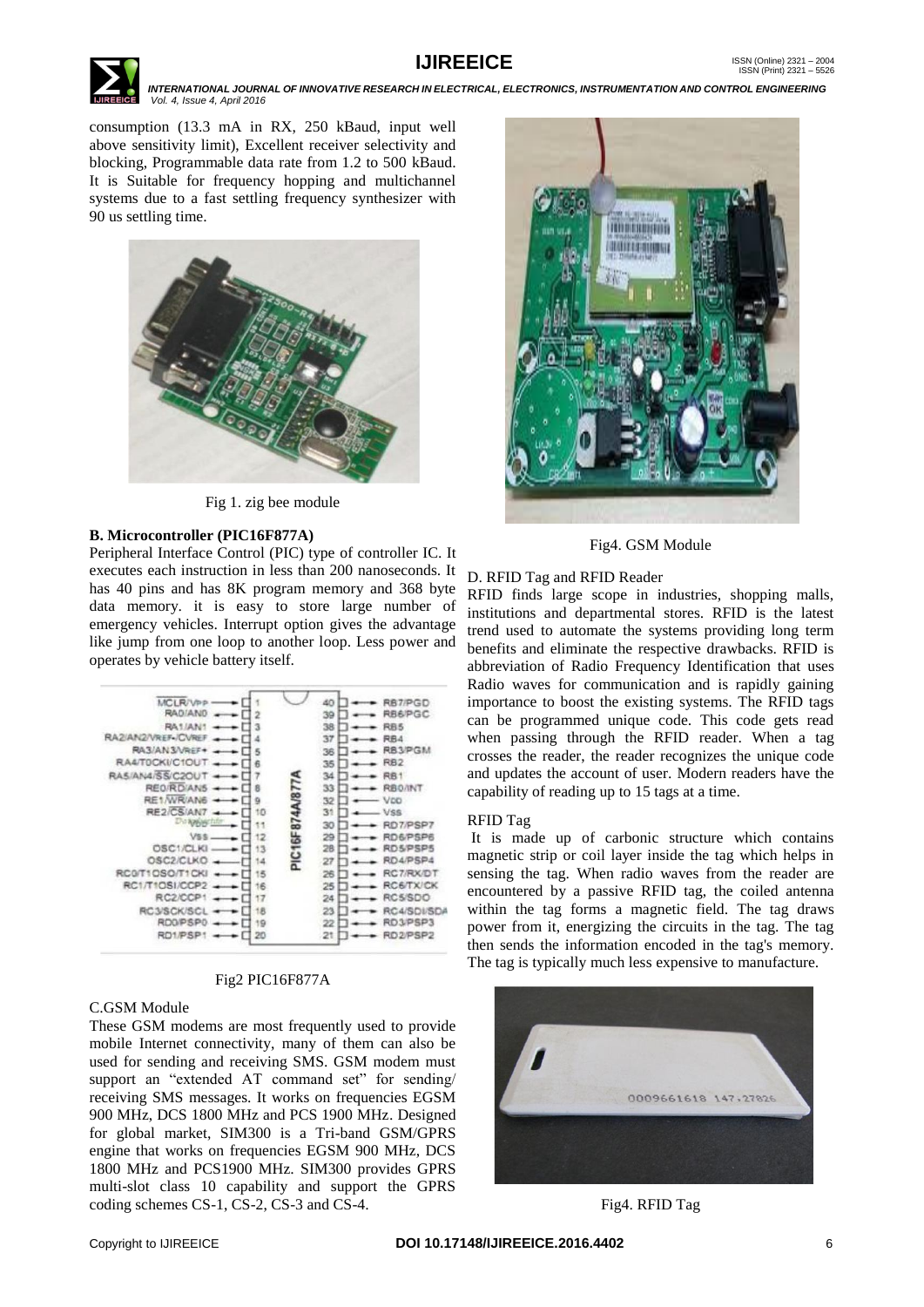

consumption (13.3 mA in RX, 250 kBaud, input well above sensitivity limit), Excellent receiver selectivity and blocking, Programmable data rate from 1.2 to 500 kBaud. It is Suitable for frequency hopping and multichannel systems due to a fast settling frequency synthesizer with 90 us settling time.



Fig 1. zig bee module

# **B. Microcontroller (PIC16F877A)**

Peripheral Interface Control (PIC) type of controller IC. It executes each instruction in less than 200 nanoseconds. It has 40 pins and has 8K program memory and 368 byte data memory. it is easy to store large number of emergency vehicles. Interrupt option gives the advantage like jump from one loop to another loop. Less power and operates by vehicle battery itself.



# Fig2 PIC16F877A

# C.GSM Module

These GSM modems are most frequently used to provide mobile Internet connectivity, many of them can also be used for sending and receiving SMS. GSM modem must support an "extended AT command set" for sending/ receiving SMS messages. It works on frequencies EGSM 900 MHz, DCS 1800 MHz and PCS 1900 MHz. Designed for global market, SIM300 is a Tri-band GSM/GPRS engine that works on frequencies EGSM 900 MHz, DCS 1800 MHz and PCS1900 MHz. SIM300 provides GPRS multi-slot class 10 capability and support the GPRS coding schemes CS-1, CS-2, CS-3 and CS-4.



Fig4. GSM Module

# D. RFID Tag and RFID Reader

RFID finds large scope in industries, shopping malls, institutions and departmental stores. RFID is the latest trend used to automate the systems providing long term benefits and eliminate the respective drawbacks. RFID is abbreviation of Radio Frequency Identification that uses Radio waves for communication and is rapidly gaining importance to boost the existing systems. The RFID tags can be programmed unique code. This code gets read when passing through the RFID reader. When a tag crosses the reader, the reader recognizes the unique code and updates the account of user. Modern readers have the capability of reading up to 15 tags at a time.

# RFID Tag

It is made up of carbonic structure which contains magnetic strip or coil layer inside the tag which helps in sensing the tag. When radio waves from the reader are encountered by a passive RFID tag, the coiled antenna within the tag forms a magnetic field. The tag draws power from it, energizing the circuits in the tag. The tag then sends the information encoded in the tag's memory. The tag is typically much less expensive to manufacture.



Fig4. RFID Tag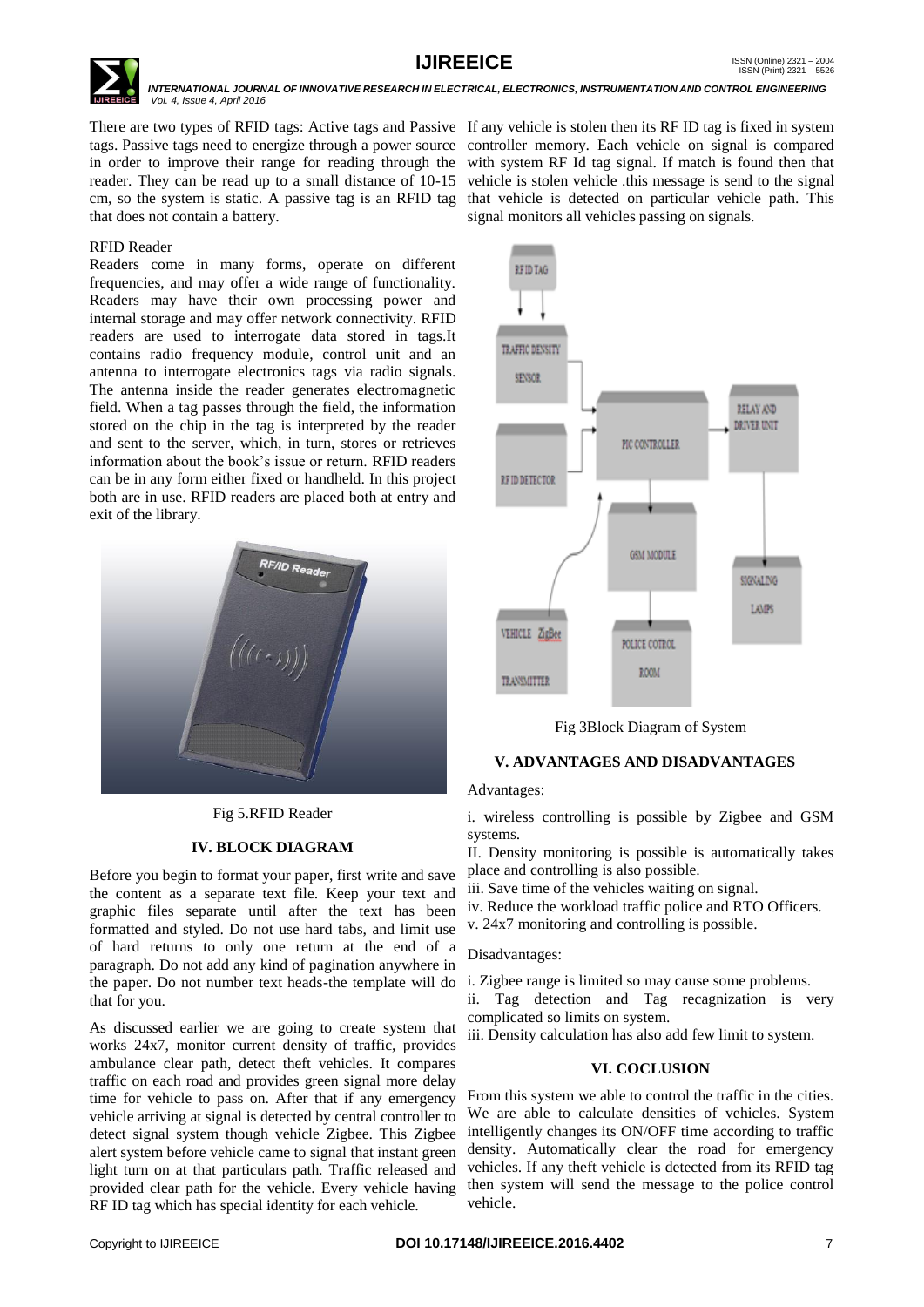

There are two types of RFID tags: Active tags and Passive If any vehicle is stolen then its RF ID tag is fixed in system tags. Passive tags need to energize through a power source controller memory. Each vehicle on signal is compared in order to improve their range for reading through the with system RF Id tag signal. If match is found then that reader. They can be read up to a small distance of 10-15 vehicle is stolen vehicle this message is send to the signal cm, so the system is static. A passive tag is an RFID tag that vehicle is detected on particular vehicle path. This that does not contain a battery.

#### RFID Reader

Readers come in many forms, operate on different frequencies, and may offer a wide range of functionality. Readers may have their own processing power and internal storage and may offer network connectivity. RFID readers are used to interrogate data stored in tags.It contains radio frequency module, control unit and an antenna to interrogate electronics tags via radio signals. The antenna inside the reader generates electromagnetic field. When a tag passes through the field, the information stored on the chip in the tag is interpreted by the reader and sent to the server, which, in turn, stores or retrieves information about the book"s issue or return. RFID readers can be in any form either fixed or handheld. In this project both are in use. RFID readers are placed both at entry and exit of the library.



Fig 5.RFID Reader

#### **IV. BLOCK DIAGRAM**

Before you begin to format your paper, first write and save the content as a separate text file. Keep your text and graphic files separate until after the text has been formatted and styled. Do not use hard tabs, and limit use of hard returns to only one return at the end of a paragraph. Do not add any kind of pagination anywhere in the paper. Do not number text heads-the template will do i. Zigbee range is limited so may cause some problems. that for you.

As discussed earlier we are going to create system that works 24x7, monitor current density of traffic, provides ambulance clear path, detect theft vehicles. It compares traffic on each road and provides green signal more delay time for vehicle to pass on. After that if any emergency vehicle arriving at signal is detected by central controller to detect signal system though vehicle Zigbee. This Zigbee alert system before vehicle came to signal that instant green light turn on at that particulars path. Traffic released and provided clear path for the vehicle. Every vehicle having RF ID tag which has special identity for each vehicle.

signal monitors all vehicles passing on signals.



Fig 3Block Diagram of System

# **V. ADVANTAGES AND DISADVANTAGES**

#### Advantages:

i. wireless controlling is possible by Zigbee and GSM systems.

II. Density monitoring is possible is automatically takes place and controlling is also possible.

- iii. Save time of the vehicles waiting on signal.
- iv. Reduce the workload traffic police and RTO Officers.
- v. 24x7 monitoring and controlling is possible.

#### Disadvantages:

ii. Tag detection and Tag recagnization is very complicated so limits on system.

iii. Density calculation has also add few limit to system.

#### **VI. COCLUSION**

From this system we able to control the traffic in the cities. We are able to calculate densities of vehicles. System intelligently changes its ON/OFF time according to traffic density. Automatically clear the road for emergency vehicles. If any theft vehicle is detected from its RFID tag then system will send the message to the police control vehicle.